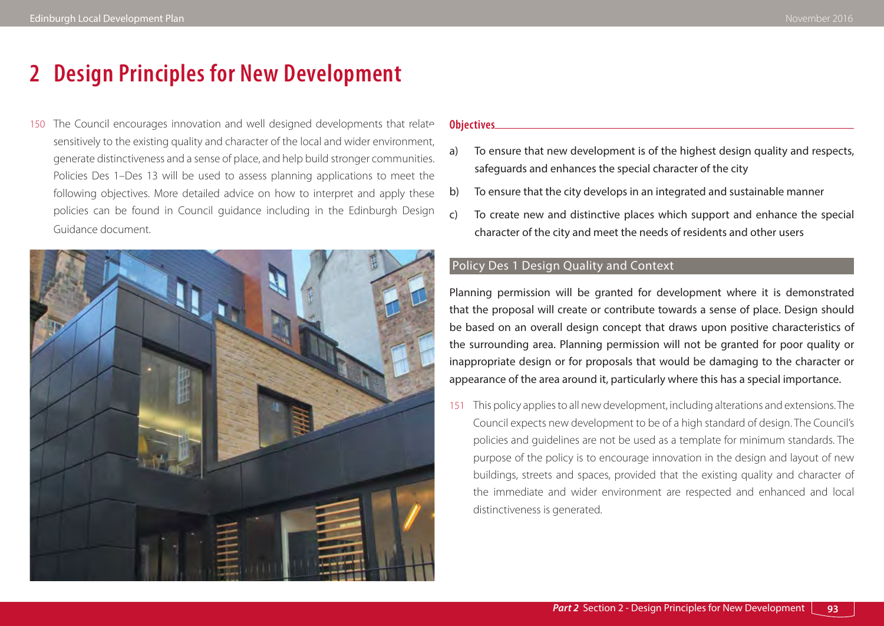# **2 Design Principles for New Development**

150 The Council encourages innovation and well designed developments that relate sensitively to the existing quality and character of the local and wider environment, generate distinctiveness and a sense of place, and help build stronger communities. Policies Des 1–Des 13 will be used to assess planning applications to meet the following objectives. More detailed advice on how to interpret and apply these policies can be found in Council guidance including in the Edinburgh Design Guidance document.



#### **Objectives**

- a) To ensure that new development is of the highest design quality and respects, safeguards and enhances the special character of the city
- b) To ensure that the city develops in an integrated and sustainable manner
- c) To create new and distinctive places which support and enhance the special character of the city and meet the needs of residents and other users

# Policy Des 1 Design Quality and Context

Planning permission will be granted for development where it is demonstrated that the proposal will create or contribute towards a sense of place. Design should be based on an overall design concept that draws upon positive characteristics of the surrounding area. Planning permission will not be granted for poor quality or inappropriate design or for proposals that would be damaging to the character or appearance of the area around it, particularly where this has a special importance.

151 This policy applies to all new development, including alterations and extensions. The Council expects new development to be of a high standard of design. The Council's policies and guidelines are not be used as a template for minimum standards. The purpose of the policy is to encourage innovation in the design and layout of new buildings, streets and spaces, provided that the existing quality and character of the immediate and wider environment are respected and enhanced and local distinctiveness is generated.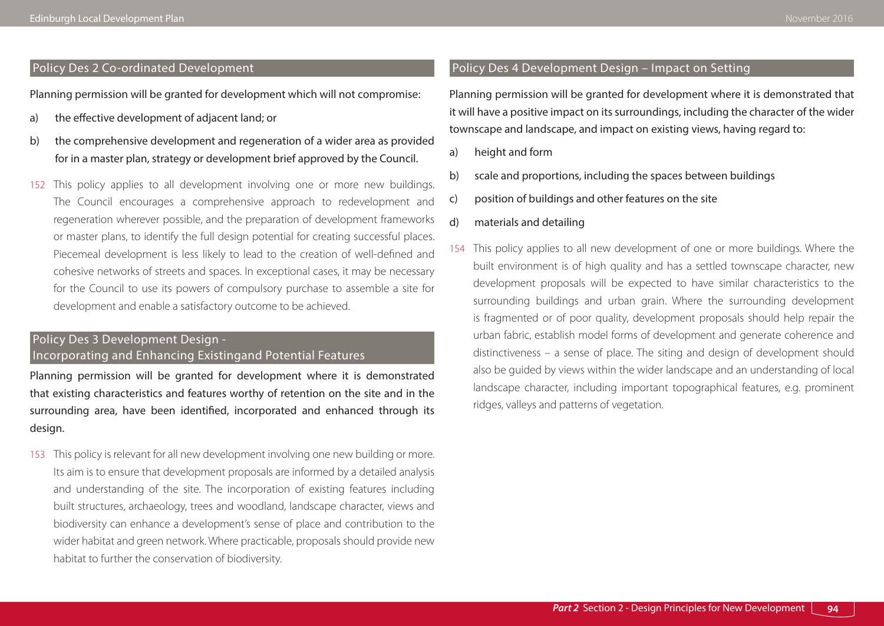# Policy Des 2 Co-ordinated Development

Planning permission will be granted for development which will not compromise:

- a) the effective development of adjacent land; or
- b) the comprehensive development and regeneration of a wider area as provided for in a master plan, strategy or development brief approved by the Council.
- 152 This policy applies to all development involving one or more new buildings. The Council encourages a comprehensive approach to redevelopment and regeneration wherever possible, and the preparation of development frameworks or master plans, to identify the full design potential for creating successful places. Piecemeal development is less likely to lead to the creation of well-defined and cohesive networks of streets and spaces. In exceptional cases, it may be necessary for the Council to use its powers of compulsory purchase to assemble a site for development and enable a satisfactory outcome to be achieved.

# Policy Des 3 Development Design - Incorporating and Enhancing Existingand Potential Features

Planning permission will be granted for development where it is demonstrated that existing characteristics and features worthy of retention on the site and in the surrounding area, have been identified, incorporated and enhanced through its design.

153 This policy is relevant for all new development involving one new building or more. Its aim is to ensure that development proposals are informed by a detailed analysis and understanding of the site. The incorporation of existing features including built structures, archaeology, trees and woodland, landscape character, views and biodiversity can enhance a development's sense of place and contribution to the wider habitat and green network. Where practicable, proposals should provide new habitat to further the conservation of biodiversity.

# Policy Des 4 Development Design – Impact on Setting

Planning permission will be granted for development where it is demonstrated that it will have a positive impact on its surroundings, including the character of the wider townscape and landscape, and impact on existing views, having regard to:

- a) height and form
- b) scale and proportions, including the spaces between buildings
- c) position of buildings and other features on the site
- d) materials and detailing
- 154 This policy applies to all new development of one or more buildings. Where the built environment is of high quality and has a settled townscape character, new development proposals will be expected to have similar characteristics to the surrounding buildings and urban grain. Where the surrounding development is fragmented or of poor quality, development proposals should help repair the urban fabric, establish model forms of development and generate coherence and distinctiveness – a sense of place. The siting and design of development should also be guided by views within the wider landscape and an understanding of local landscape character, including important topographical features, e.g. prominent ridges, valleys and patterns of vegetation.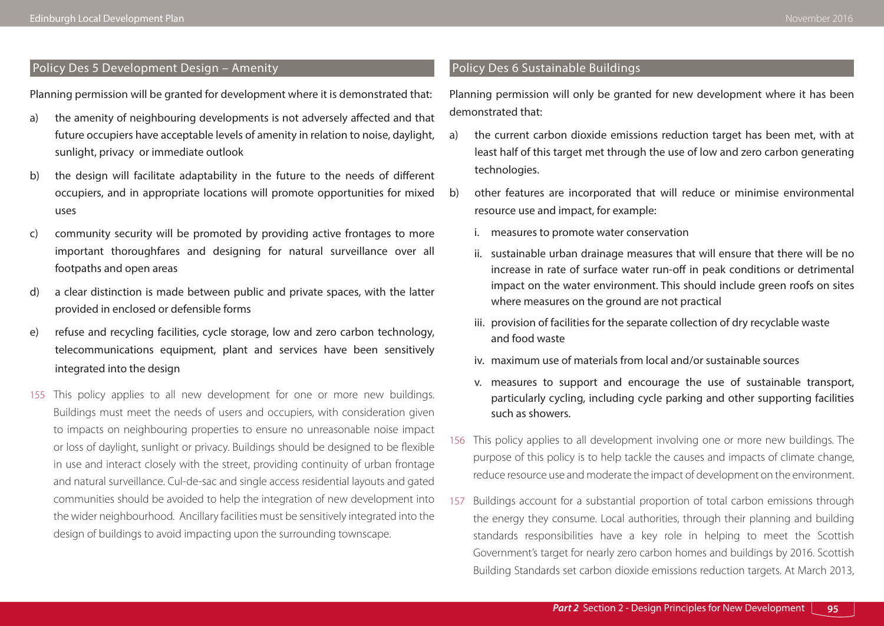# Policy Des 5 Development Design – Amenity

Planning permission will be granted for development where it is demonstrated that:

- a) the amenity of neighbouring developments is not adversely affected and that future occupiers have acceptable levels of amenity in relation to noise, daylight, sunlight, privacy or immediate outlook
- b) the design will facilitate adaptability in the future to the needs of different occupiers, and in appropriate locations will promote opportunities for mixed uses
- c) community security will be promoted by providing active frontages to more important thoroughfares and designing for natural surveillance over all footpaths and open areas
- d) a clear distinction is made between public and private spaces, with the latter provided in enclosed or defensible forms
- e) refuse and recycling facilities, cycle storage, low and zero carbon technology, telecommunications equipment, plant and services have been sensitively integrated into the design
- 155 This policy applies to all new development for one or more new buildings. Buildings must meet the needs of users and occupiers, with consideration given to impacts on neighbouring properties to ensure no unreasonable noise impact or loss of daylight, sunlight or privacy. Buildings should be designed to be flexible in use and interact closely with the street, providing continuity of urban frontage and natural surveillance. Cul-de-sac and single access residential layouts and gated communities should be avoided to help the integration of new development into the wider neighbourhood. Ancillary facilities must be sensitively integrated into the design of buildings to avoid impacting upon the surrounding townscape.

# Policy Des 6 Sustainable Buildings

Planning permission will only be granted for new development where it has been demonstrated that:

- a) the current carbon dioxide emissions reduction target has been met, with at least half of this target met through the use of low and zero carbon generating technologies.
- b) other features are incorporated that will reduce or minimise environmental resource use and impact, for example:
	- i. measures to promote water conservation
	- ii. sustainable urban drainage measures that will ensure that there will be no increase in rate of surface water run-off in peak conditions or detrimental impact on the water environment. This should include green roofs on sites where measures on the ground are not practical
	- iii. provision of facilities for the separate collection of dry recyclable waste and food waste
	- iv. maximum use of materials from local and/or sustainable sources
	- v. measures to support and encourage the use of sustainable transport, particularly cycling, including cycle parking and other supporting facilities such as showers.
- 156 This policy applies to all development involving one or more new buildings. The purpose of this policy is to help tackle the causes and impacts of climate change, reduce resource use and moderate the impact of development on the environment.
- 157 Buildings account for a substantial proportion of total carbon emissions through the energy they consume. Local authorities, through their planning and building standards responsibilities have a key role in helping to meet the Scottish Government's target for nearly zero carbon homes and buildings by 2016. Scottish Building Standards set carbon dioxide emissions reduction targets. At March 2013,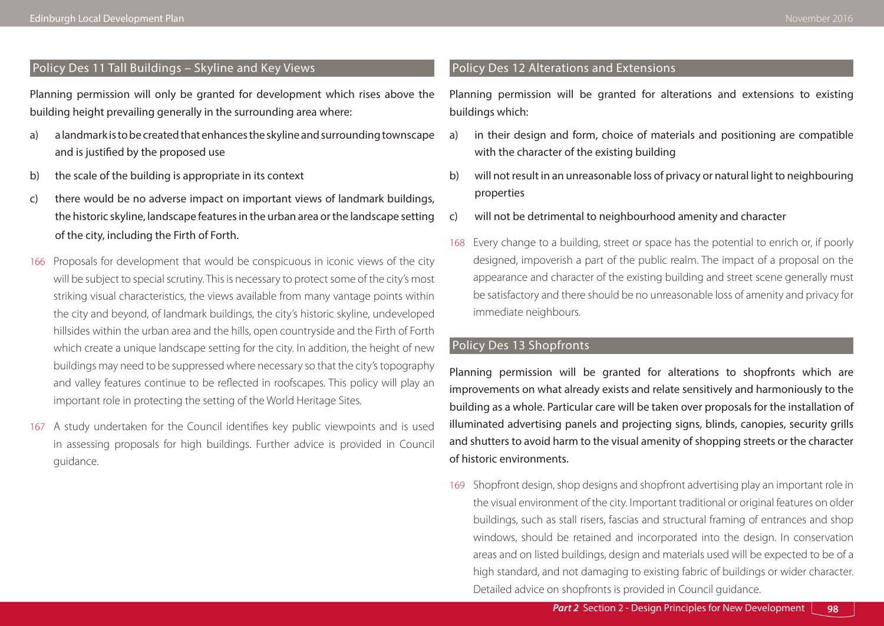# Policy Des 11 Tall Buildings – Skyline and Key Views

Planning permission will only be granted for development which rises above the building height prevailing generally in the surrounding area where:

- a) a landmark is to be created that enhances the skyline and surrounding townscape and is justified by the proposed use
- b) the scale of the building is appropriate in its context
- c) there would be no adverse impact on important views of landmark buildings, the historic skyline, landscape features in the urban area or the landscape setting of the city, including the Firth of Forth.
- 166 Proposals for development that would be conspicuous in iconic views of the city will be subject to special scrutiny. This is necessary to protect some of the city's most striking visual characteristics, the views available from many vantage points within the city and beyond, of landmark buildings, the city's historic skyline, undeveloped hillsides within the urban area and the hills, open countryside and the Firth of Forth which create a unique landscape setting for the city. In addition, the height of new buildings may need to be suppressed where necessary so that the city's topography and valley features continue to be reflected in roofscapes. This policy will play an important role in protecting the setting of the World Heritage Sites.
- 167 A study undertaken for the Council identifies key public viewpoints and is used in assessing proposals for high buildings. Further advice is provided in Council guidance.

# Policy Des 12 Alterations and Extensions

Planning permission will be granted for alterations and extensions to existing buildings which:

- a) in their design and form, choice of materials and positioning are compatible with the character of the existing building
- b) will not result in an unreasonable loss of privacy or natural light to neighbouring properties
- c) will not be detrimental to neighbourhood amenity and character
- 168 Every change to a building, street or space has the potential to enrich or, if poorly designed, impoverish a part of the public realm. The impact of a proposal on the appearance and character of the existing building and street scene generally must be satisfactory and there should be no unreasonable loss of amenity and privacy for immediate neighbours.

# Policy Des 13 Shopfronts

Planning permission will be granted for alterations to shopfronts which are improvements on what already exists and relate sensitively and harmoniously to the building as a whole. Particular care will be taken over proposals for the installation of illuminated advertising panels and projecting signs, blinds, canopies, security grills and shutters to avoid harm to the visual amenity of shopping streets or the character of historic environments.

169 Shopfront design, shop designs and shopfront advertising play an important role in the visual environment of the city. Important traditional or original features on older buildings, such as stall risers, fascias and structural framing of entrances and shop windows, should be retained and incorporated into the design. In conservation areas and on listed buildings, design and materials used will be expected to be of a high standard, and not damaging to existing fabric of buildings or wider character. Detailed advice on shopfronts is provided in Council guidance.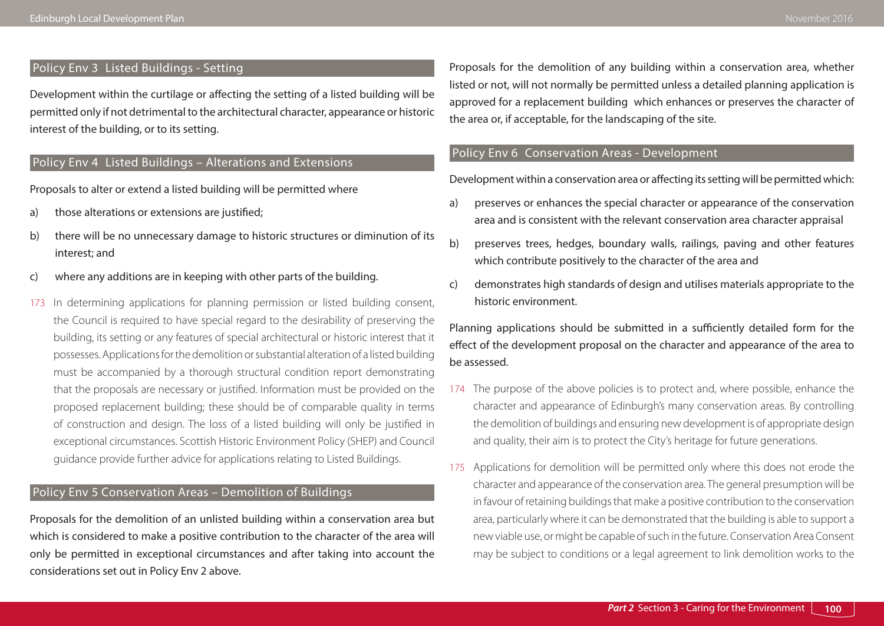# Policy Env 3 Listed Buildings - Setting

Development within the curtilage or affecting the setting of a listed building will be permitted only if not detrimental to the architectural character, appearance or historic interest of the building, or to its setting.

### Policy Env 4 Listed Buildings – Alterations and Extensions

Proposals to alter or extend a listed building will be permitted where

- a) those alterations or extensions are justified;
- b) there will be no unnecessary damage to historic structures or diminution of its interest; and
- c) where any additions are in keeping with other parts of the building.
- 173 In determining applications for planning permission or listed building consent, the Council is required to have special regard to the desirability of preserving the building, its setting or any features of special architectural or historic interest that it possesses. Applications for the demolition or substantial alteration of a listed building must be accompanied by a thorough structural condition report demonstrating that the proposals are necessary or justified. Information must be provided on the proposed replacement building; these should be of comparable quality in terms of construction and design. The loss of a listed building will only be justified in exceptional circumstances. Scottish Historic Environment Policy (SHEP) and Council guidance provide further advice for applications relating to Listed Buildings.

# Policy Env 5 Conservation Areas – Demolition of Buildings

Proposals for the demolition of an unlisted building within a conservation area but which is considered to make a positive contribution to the character of the area will only be permitted in exceptional circumstances and after taking into account the considerations set out in Policy Env 2 above.

Proposals for the demolition of any building within a conservation area, whether listed or not, will not normally be permitted unless a detailed planning application is approved for a replacement building which enhances or preserves the character of the area or, if acceptable, for the landscaping of the site.

# Policy Env 6 Conservation Areas - Development

Development within a conservation area or affecting its setting will be permitted which:

- a) preserves or enhances the special character or appearance of the conservation area and is consistent with the relevant conservation area character appraisal
- b) preserves trees, hedges, boundary walls, railings, paving and other features which contribute positively to the character of the area and
- c) demonstrates high standards of design and utilises materials appropriate to the historic environment.

Planning applications should be submitted in a sufficiently detailed form for the effect of the development proposal on the character and appearance of the area to be assessed.

- 174 The purpose of the above policies is to protect and, where possible, enhance the character and appearance of Edinburgh's many conservation areas. By controlling the demolition of buildings and ensuring new development is of appropriate design and quality, their aim is to protect the City's heritage for future generations.
- 175 Applications for demolition will be permitted only where this does not erode the character and appearance of the conservation area. The general presumption will be in favour of retaining buildings that make a positive contribution to the conservation area, particularly where it can be demonstrated that the building is able to support a new viable use, or might be capable of such in the future. Conservation Area Consent may be subject to conditions or a legal agreement to link demolition works to the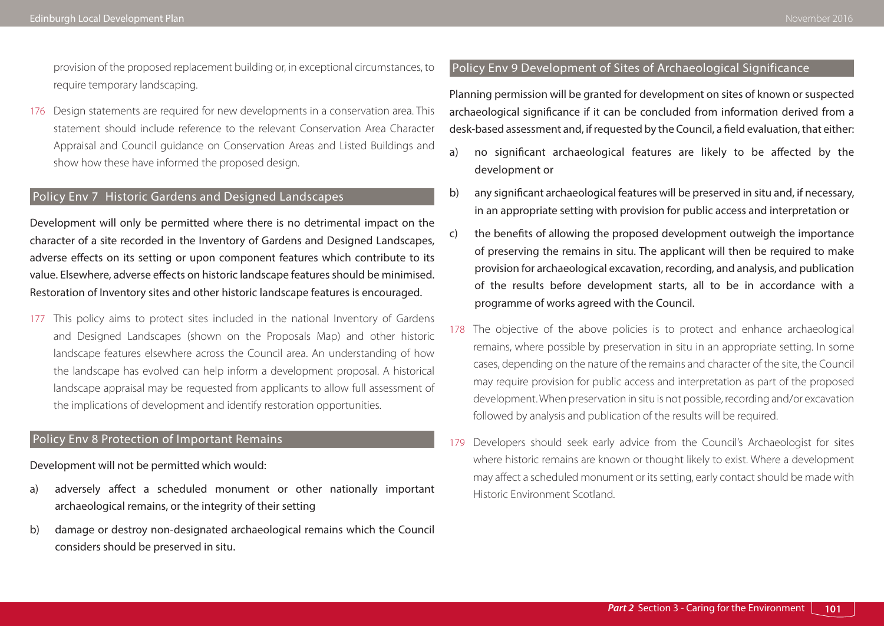provision of the proposed replacement building or, in exceptional circumstances, to require temporary landscaping.

176 Design statements are required for new developments in a conservation area. This statement should include reference to the relevant Conservation Area Character Appraisal and Council guidance on Conservation Areas and Listed Buildings and show how these have informed the proposed design.

# Policy Env 7 Historic Gardens and Designed Landscapes

Development will only be permitted where there is no detrimental impact on the character of a site recorded in the Inventory of Gardens and Designed Landscapes, adverse effects on its setting or upon component features which contribute to its value. Elsewhere, adverse effects on historic landscape features should be minimised. Restoration of Inventory sites and other historic landscape features is encouraged.

177 This policy aims to protect sites included in the national Inventory of Gardens and Designed Landscapes (shown on the Proposals Map) and other historic landscape features elsewhere across the Council area. An understanding of how the landscape has evolved can help inform a development proposal. A historical landscape appraisal may be requested from applicants to allow full assessment of the implications of development and identify restoration opportunities.

# Policy Env 8 Protection of Important Remains

Development will not be permitted which would:

- a) adversely affect a scheduled monument or other nationally important archaeological remains, or the integrity of their setting
- b) damage or destroy non-designated archaeological remains which the Council considers should be preserved in situ.

# Policy Env 9 Development of Sites of Archaeological Significance

Planning permission will be granted for development on sites of known or suspected archaeological significance if it can be concluded from information derived from a desk-based assessment and, if requested by the Council, a field evaluation, that either:

- a) no significant archaeological features are likely to be affected by the development or
- b) any significant archaeological features will be preserved in situ and, if necessary, in an appropriate setting with provision for public access and interpretation or
- c) the benefits of allowing the proposed development outweigh the importance of preserving the remains in situ. The applicant will then be required to make provision for archaeological excavation, recording, and analysis, and publication of the results before development starts, all to be in accordance with a programme of works agreed with the Council.
- 178 The objective of the above policies is to protect and enhance archaeological remains, where possible by preservation in situ in an appropriate setting. In some cases, depending on the nature of the remains and character of the site, the Council may require provision for public access and interpretation as part of the proposed development. When preservation in situ is not possible, recording and/or excavation followed by analysis and publication of the results will be required.
- 179 Developers should seek early advice from the Council's Archaeologist for sites where historic remains are known or thought likely to exist. Where a development may affect a scheduled monument or its setting, early contact should be made with Historic Environment Scotland.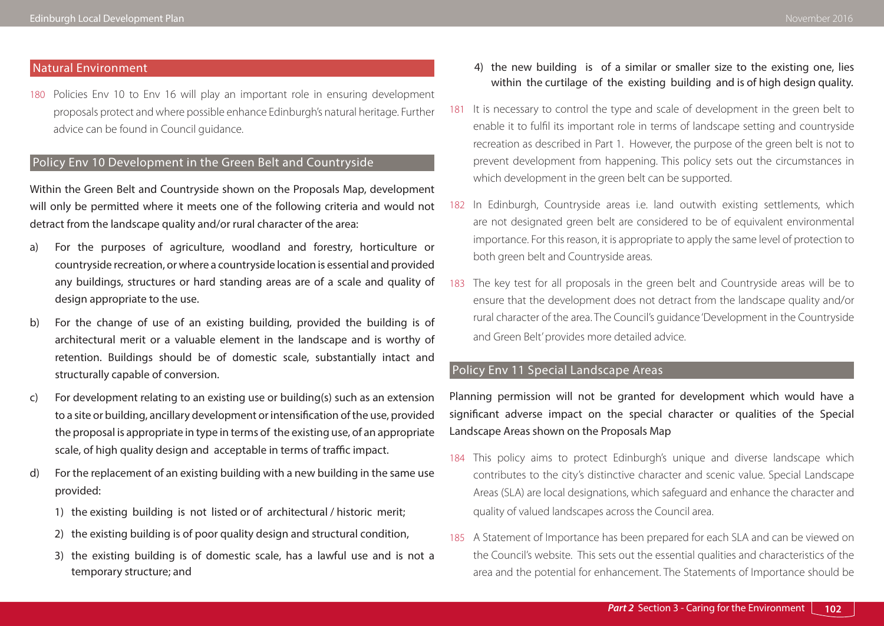# Natural Environment

180 Policies Env 10 to Env 16 will play an important role in ensuring development proposals protect and where possible enhance Edinburgh's natural heritage. Further advice can be found in Council guidance.

# Policy Env 10 Development in the Green Belt and Countryside

Within the Green Belt and Countryside shown on the Proposals Map, development will only be permitted where it meets one of the following criteria and would not detract from the landscape quality and/or rural character of the area:

- a) For the purposes of agriculture, woodland and forestry, horticulture or countryside recreation, or where a countryside location is essential and provided any buildings, structures or hard standing areas are of a scale and quality of design appropriate to the use.
- b) For the change of use of an existing building, provided the building is of architectural merit or a valuable element in the landscape and is worthy of retention. Buildings should be of domestic scale, substantially intact and structurally capable of conversion.
- c) For development relating to an existing use or building(s) such as an extension to a site or building, ancillary development or intensification of the use, provided the proposal is appropriate in type in terms of the existing use, of an appropriate scale, of high quality design and acceptable in terms of traffic impact.
- d) For the replacement of an existing building with a new building in the same use provided:
	- 1) the existing building is not listed or of architectural / historic merit;
	- 2) the existing building is of poor quality design and structural condition,
	- 3) the existing building is of domestic scale, has a lawful use and is not a temporary structure; and

# 4) the new building is of a similar or smaller size to the existing one, lies within the curtilage of the existing building and is of high design quality.

- 181 It is necessary to control the type and scale of development in the green belt to enable it to fulfil its important role in terms of landscape setting and countryside recreation as described in Part 1. However, the purpose of the green belt is not to prevent development from happening. This policy sets out the circumstances in which development in the green belt can be supported.
- 182 In Edinburgh, Countryside areas i.e. land outwith existing settlements, which are not designated green belt are considered to be of equivalent environmental importance. For this reason, it is appropriate to apply the same level of protection to both green belt and Countryside areas.
- 183 The key test for all proposals in the green belt and Countryside areas will be to ensure that the development does not detract from the landscape quality and/or rural character of the area. The Council's guidance 'Development in the Countryside and Green Belt' provides more detailed advice.

# Policy Env 11 Special Landscape Areas

Planning permission will not be granted for development which would have a significant adverse impact on the special character or qualities of the Special Landscape Areas shown on the Proposals Map

- 184 This policy aims to protect Edinburgh's unique and diverse landscape which contributes to the city's distinctive character and scenic value. Special Landscape Areas (SLA) are local designations, which safeguard and enhance the character and quality of valued landscapes across the Council area.
- 185 A Statement of Importance has been prepared for each SLA and can be viewed on the Council's website. This sets out the essential qualities and characteristics of the area and the potential for enhancement. The Statements of Importance should be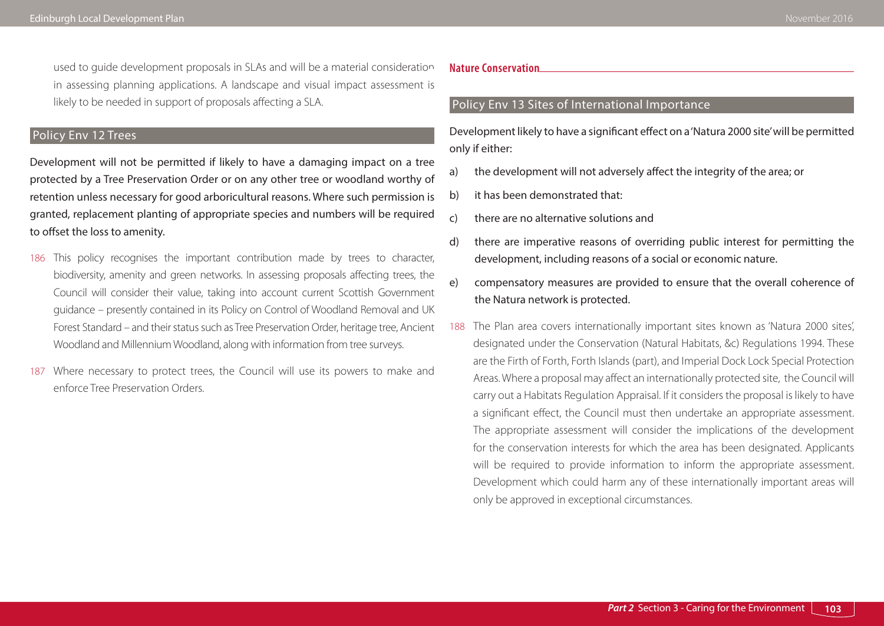used to guide development proposals in SLAs and will be a material consideration in assessing planning applications. A landscape and visual impact assessment is likely to be needed in support of proposals affecting a SLA.

# Policy Env 12 Trees

Development will not be permitted if likely to have a damaging impact on a tree protected by a Tree Preservation Order or on any other tree or woodland worthy of retention unless necessary for good arboricultural reasons. Where such permission is granted, replacement planting of appropriate species and numbers will be required to offset the loss to amenity.

- 186 This policy recognises the important contribution made by trees to character, biodiversity, amenity and green networks. In assessing proposals affecting trees, the Council will consider their value, taking into account current Scottish Government guidance – presently contained in its Policy on Control of Woodland Removal and UK Forest Standard – and their status such as Tree Preservation Order, heritage tree, Ancient Woodland and Millennium Woodland, along with information from tree surveys.
- 187 Where necessary to protect trees, the Council will use its powers to make and enforce Tree Preservation Orders.

#### **Nature Conservation**

# Policy Env 13 Sites of International Importance

Development likely to have a significant effect on a 'Natura 2000 site' will be permitted only if either:

- a) the development will not adversely affect the integrity of the area; or
- b) it has been demonstrated that:
- c) there are no alternative solutions and
- d) there are imperative reasons of overriding public interest for permitting the development, including reasons of a social or economic nature.
- e) compensatory measures are provided to ensure that the overall coherence of the Natura network is protected.
- 188 The Plan area covers internationally important sites known as 'Natura 2000 sites', designated under the Conservation (Natural Habitats, &c) Regulations 1994. These are the Firth of Forth, Forth Islands (part), and Imperial Dock Lock Special Protection Areas. Where a proposal may affect an internationally protected site, the Council will carry out a Habitats Regulation Appraisal. If it considers the proposal is likely to have a significant effect, the Council must then undertake an appropriate assessment. The appropriate assessment will consider the implications of the development for the conservation interests for which the area has been designated. Applicants will be required to provide information to inform the appropriate assessment. Development which could harm any of these internationally important areas will only be approved in exceptional circumstances.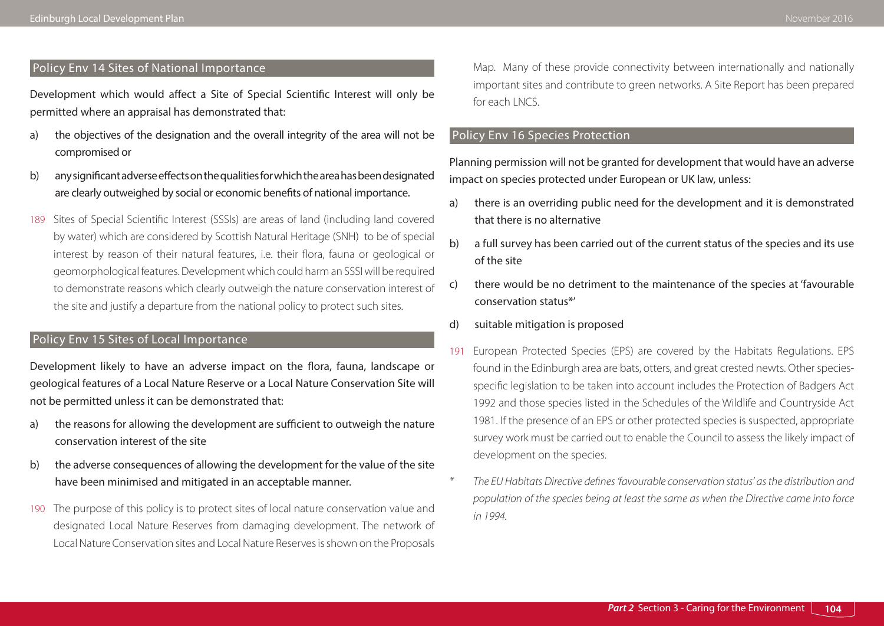# Policy Env 14 Sites of National Importance

Development which would affect a Site of Special Scientific Interest will only be permitted where an appraisal has demonstrated that:

- a) the objectives of the designation and the overall integrity of the area will not be compromised or
- b) any significant adverse effects on the qualities for which the area has been designated are clearly outweighed by social or economic benefits of national importance.
- 189 Sites of Special Scientific Interest (SSSIs) are areas of land (including land covered by water) which are considered by Scottish Natural Heritage (SNH) to be of special interest by reason of their natural features, i.e. their flora, fauna or geological or geomorphological features. Development which could harm an SSSI will be required to demonstrate reasons which clearly outweigh the nature conservation interest of the site and justify a departure from the national policy to protect such sites.

# Policy Env 15 Sites of Local Importance

Development likely to have an adverse impact on the flora, fauna, landscape or geological features of a Local Nature Reserve or a Local Nature Conservation Site will not be permitted unless it can be demonstrated that:

- a) the reasons for allowing the development are sufficient to outweigh the nature conservation interest of the site
- b) the adverse consequences of allowing the development for the value of the site have been minimised and mitigated in an acceptable manner.
- 190 The purpose of this policy is to protect sites of local nature conservation value and designated Local Nature Reserves from damaging development. The network of Local Nature Conservation sites and Local Nature Reserves is shown on the Proposals

Map. Many of these provide connectivity between internationally and nationally important sites and contribute to green networks. A Site Report has been prepared for each LNCS.

# Policy Env 16 Species Protection

Planning permission will not be granted for development that would have an adverse impact on species protected under European or UK law, unless:

- a) there is an overriding public need for the development and it is demonstrated that there is no alternative
- b) a full survey has been carried out of the current status of the species and its use of the site
- c) there would be no detriment to the maintenance of the species at 'favourable conservation status\*'
- d) suitable mitigation is proposed
- 191 European Protected Species (EPS) are covered by the Habitats Regulations. EPS found in the Edinburgh area are bats, otters, and great crested newts. Other speciesspecific legislation to be taken into account includes the Protection of Badgers Act 1992 and those species listed in the Schedules of the Wildlife and Countryside Act 1981. If the presence of an EPS or other protected species is suspected, appropriate survey work must be carried out to enable the Council to assess the likely impact of development on the species.
- *\* The EU Habitats Directive defines 'favourable conservation status' as the distribution and population of the species being at least the same as when the Directive came into force in 1994.*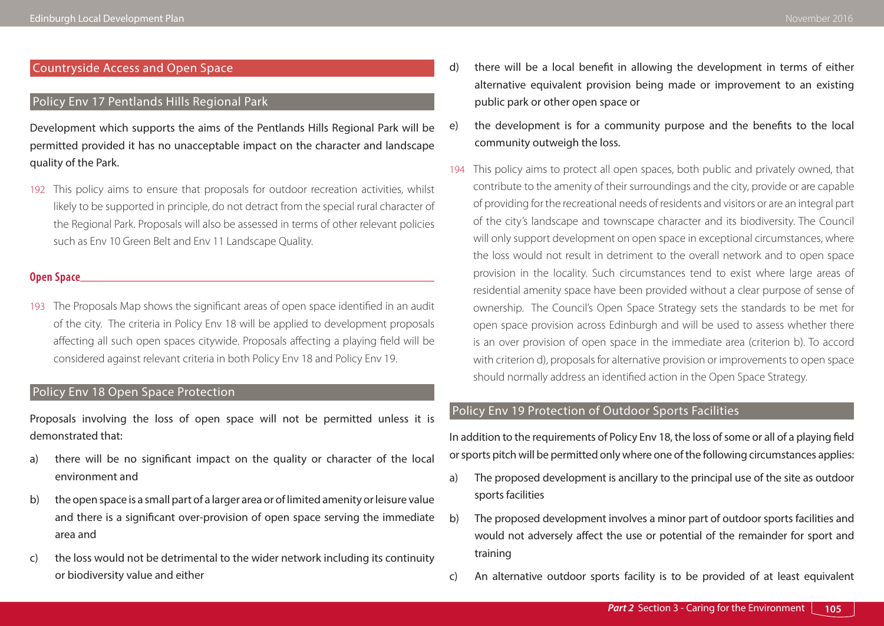# Countryside Access and Open Space

#### Policy Env 17 Pentlands Hills Regional Park

Development which supports the aims of the Pentlands Hills Regional Park will be permitted provided it has no unacceptable impact on the character and landscape quality of the Park.

192 This policy aims to ensure that proposals for outdoor recreation activities, whilst likely to be supported in principle, do not detract from the special rural character of the Regional Park. Proposals will also be assessed in terms of other relevant policies such as Env 10 Green Belt and Env 11 Landscape Quality.

#### **Open Space**

193 The Proposals Map shows the significant areas of open space identified in an audit of the city. The criteria in Policy Env 18 will be applied to development proposals affecting all such open spaces citywide. Proposals affecting a playing field will be considered against relevant criteria in both Policy Env 18 and Policy Env 19.

#### Policy Env 18 Open Space Protection

Proposals involving the loss of open space will not be permitted unless it is demonstrated that:

- a) there will be no significant impact on the quality or character of the local environment and
- b) the open space is a small part of a larger area or of limited amenity or leisure value and there is a significant over-provision of open space serving the immediate area and
- c) the loss would not be detrimental to the wider network including its continuity or biodiversity value and either
- d) there will be a local benefit in allowing the development in terms of either alternative equivalent provision being made or improvement to an existing public park or other open space or
- e) the development is for a community purpose and the benefits to the local community outweigh the loss.
- 194 This policy aims to protect all open spaces, both public and privately owned, that contribute to the amenity of their surroundings and the city, provide or are capable of providing for the recreational needs of residents and visitors or are an integral part of the city's landscape and townscape character and its biodiversity. The Council will only support development on open space in exceptional circumstances, where the loss would not result in detriment to the overall network and to open space provision in the locality. Such circumstances tend to exist where large areas of residential amenity space have been provided without a clear purpose of sense of ownership. The Council's Open Space Strategy sets the standards to be met for open space provision across Edinburgh and will be used to assess whether there is an over provision of open space in the immediate area (criterion b). To accord with criterion d), proposals for alternative provision or improvements to open space should normally address an identified action in the Open Space Strategy.

# Policy Env 19 Protection of Outdoor Sports Facilities

In addition to the requirements of Policy Env 18, the loss of some or all of a playing field or sports pitch will be permitted only where one of the following circumstances applies:

- a) The proposed development is ancillary to the principal use of the site as outdoor sports facilities
- b) The proposed development involves a minor part of outdoor sports facilities and would not adversely affect the use or potential of the remainder for sport and training
- c) An alternative outdoor sports facility is to be provided of at least equivalent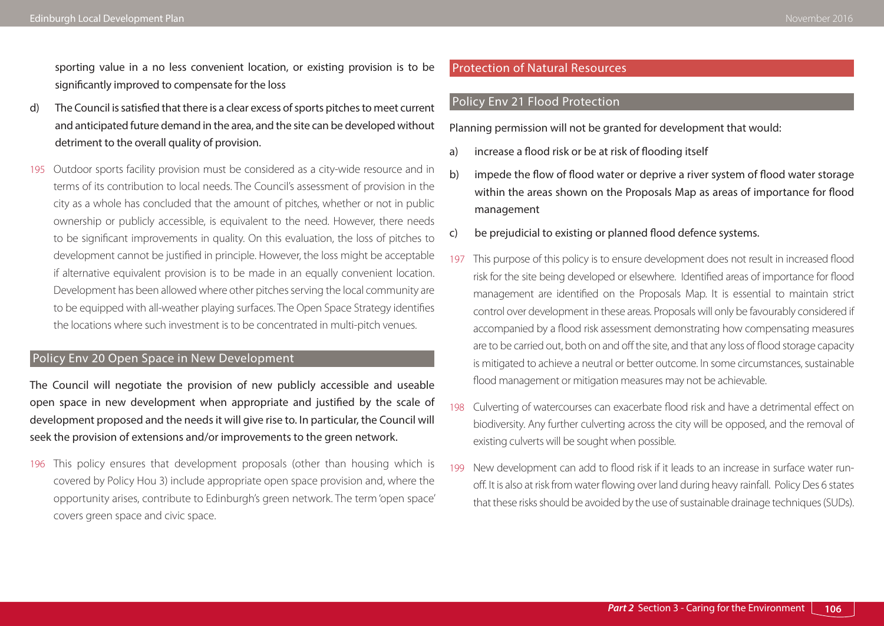sporting value in a no less convenient location, or existing provision is to be significantly improved to compensate for the loss

- d) The Council is satisfied that there is a clear excess of sports pitches to meet current and anticipated future demand in the area, and the site can be developed without detriment to the overall quality of provision.
- 195 Outdoor sports facility provision must be considered as a city-wide resource and in terms of its contribution to local needs. The Council's assessment of provision in the city as a whole has concluded that the amount of pitches, whether or not in public ownership or publicly accessible, is equivalent to the need. However, there needs to be significant improvements in quality. On this evaluation, the loss of pitches to development cannot be justified in principle. However, the loss might be acceptable if alternative equivalent provision is to be made in an equally convenient location. Development has been allowed where other pitches serving the local community are to be equipped with all-weather playing surfaces. The Open Space Strategy identifies the locations where such investment is to be concentrated in multi-pitch venues.

# Policy Env 20 Open Space in New Development

The Council will negotiate the provision of new publicly accessible and useable open space in new development when appropriate and justified by the scale of development proposed and the needs it will give rise to. In particular, the Council will seek the provision of extensions and/or improvements to the green network.

196 This policy ensures that development proposals (other than housing which is covered by Policy Hou 3) include appropriate open space provision and, where the opportunity arises, contribute to Edinburgh's green network. The term 'open space' covers green space and civic space.

# Protection of Natural Resources

# Policy Env 21 Flood Protection

Planning permission will not be granted for development that would:

- a) increase a flood risk or be at risk of flooding itself
- b) impede the flow of flood water or deprive a river system of flood water storage within the areas shown on the Proposals Map as areas of importance for flood management
- c) be prejudicial to existing or planned flood defence systems.
- 197 This purpose of this policy is to ensure development does not result in increased flood risk for the site being developed or elsewhere. Identified areas of importance for flood management are identified on the Proposals Map. It is essential to maintain strict control over development in these areas. Proposals will only be favourably considered if accompanied by a flood risk assessment demonstrating how compensating measures are to be carried out, both on and off the site, and that any loss of flood storage capacity is mitigated to achieve a neutral or better outcome. In some circumstances, sustainable flood management or mitigation measures may not be achievable.
- 198 Culverting of watercourses can exacerbate flood risk and have a detrimental effect on biodiversity. Any further culverting across the city will be opposed, and the removal of existing culverts will be sought when possible.
- 199 New development can add to flood risk if it leads to an increase in surface water runoff. It is also at risk from water flowing over land during heavy rainfall. Policy Des 6 states that these risks should be avoided by the use of sustainable drainage techniques (SUDs).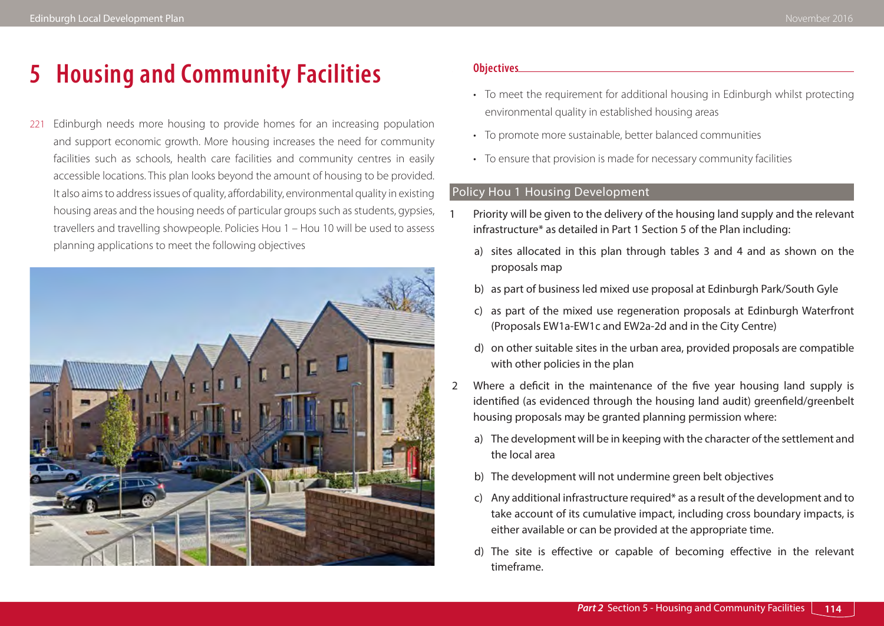# **5 Housing and Community Facilities Objectives**

221 Edinburgh needs more housing to provide homes for an increasing population and support economic growth. More housing increases the need for community facilities such as schools, health care facilities and community centres in easily accessible locations. This plan looks beyond the amount of housing to be provided. It also aims to address issues of quality, affordability, environmental quality in existing housing areas and the housing needs of particular groups such as students, gypsies, travellers and travelling showpeople. Policies Hou 1 – Hou 10 will be used to assess planning applications to meet the following objectives



- To meet the requirement for additional housing in Edinburgh whilst protecting environmental quality in established housing areas
- To promote more sustainable, better balanced communities
- To ensure that provision is made for necessary community facilities

# Policy Hou 1 Housing Development

- Priority will be given to the delivery of the housing land supply and the relevant infrastructure\* as detailed in Part 1 Section 5 of the Plan including:
	- a) sites allocated in this plan through tables 3 and 4 and as shown on the proposals map
	- b) as part of business led mixed use proposal at Edinburgh Park/South Gyle
	- c) as part of the mixed use regeneration proposals at Edinburgh Waterfront (Proposals EW1a-EW1c and EW2a-2d and in the City Centre)
	- d) on other suitable sites in the urban area, provided proposals are compatible with other policies in the plan
- 2 Where a deficit in the maintenance of the five year housing land supply is identified (as evidenced through the housing land audit) greenfield/greenbelt housing proposals may be granted planning permission where:
	- a) The development will be in keeping with the character of the settlement and the local area
	- b) The development will not undermine green belt objectives
	- c) Any additional infrastructure required\* as a result of the development and to take account of its cumulative impact, including cross boundary impacts, is either available or can be provided at the appropriate time.
	- d) The site is effective or capable of becoming effective in the relevant timeframe.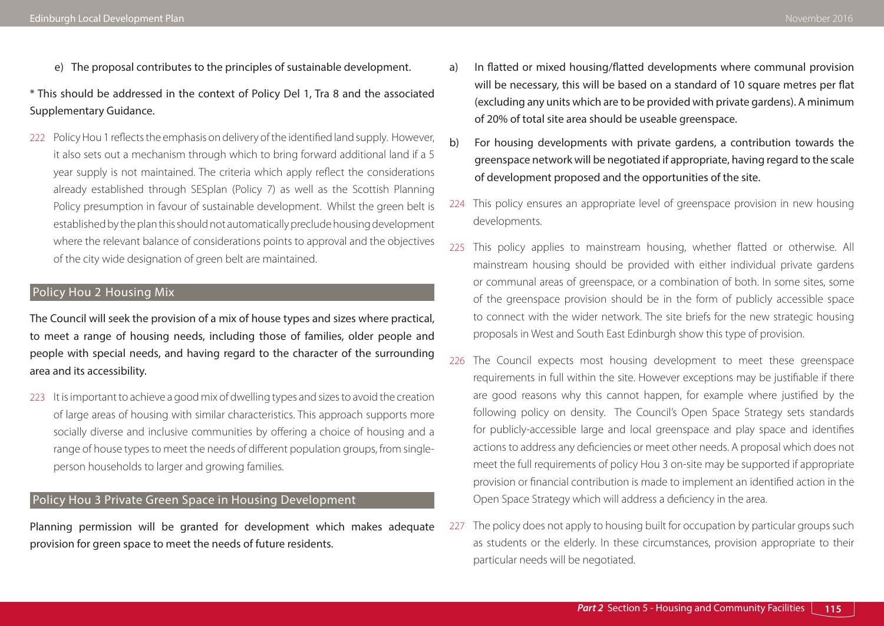- e) The proposal contributes to the principles of sustainable development.
- \* This should be addressed in the context of Policy Del 1, Tra 8 and the associated Supplementary Guidance.
- 222 Policy Hou 1 reflects the emphasis on delivery of the identified land supply. However, it also sets out a mechanism through which to bring forward additional land if a 5 year supply is not maintained. The criteria which apply reflect the considerations already established through SESplan (Policy 7) as well as the Scottish Planning Policy presumption in favour of sustainable development. Whilst the green belt is established by the plan this should not automatically preclude housing development where the relevant balance of considerations points to approval and the objectives of the city wide designation of green belt are maintained.

# Policy Hou 2 Housing Mix

The Council will seek the provision of a mix of house types and sizes where practical, to meet a range of housing needs, including those of families, older people and people with special needs, and having regard to the character of the surrounding area and its accessibility.

223 It is important to achieve a good mix of dwelling types and sizes to avoid the creation of large areas of housing with similar characteristics. This approach supports more socially diverse and inclusive communities by offering a choice of housing and a range of house types to meet the needs of different population groups, from singleperson households to larger and growing families.

# Policy Hou 3 Private Green Space in Housing Development

Planning permission will be granted for development which makes adequate provision for green space to meet the needs of future residents.

- a) In flatted or mixed housing/flatted developments where communal provision will be necessary, this will be based on a standard of 10 square metres per flat (excluding any units which are to be provided with private gardens). A minimum of 20% of total site area should be useable greenspace.
- b) For housing developments with private gardens, a contribution towards the greenspace network will be negotiated if appropriate, having regard to the scale of development proposed and the opportunities of the site.
- 224 This policy ensures an appropriate level of greenspace provision in new housing developments.
- 225 This policy applies to mainstream housing, whether flatted or otherwise. All mainstream housing should be provided with either individual private gardens or communal areas of greenspace, or a combination of both. In some sites, some of the greenspace provision should be in the form of publicly accessible space to connect with the wider network. The site briefs for the new strategic housing proposals in West and South East Edinburgh show this type of provision.
- 226 The Council expects most housing development to meet these greenspace requirements in full within the site. However exceptions may be justifiable if there are good reasons why this cannot happen, for example where justified by the following policy on density. The Council's Open Space Strategy sets standards for publicly-accessible large and local greenspace and play space and identifies actions to address any deficiencies or meet other needs. A proposal which does not meet the full requirements of policy Hou 3 on-site may be supported if appropriate provision or financial contribution is made to implement an identified action in the Open Space Strategy which will address a deficiency in the area.
- 227 The policy does not apply to housing built for occupation by particular groups such as students or the elderly. In these circumstances, provision appropriate to their particular needs will be negotiated.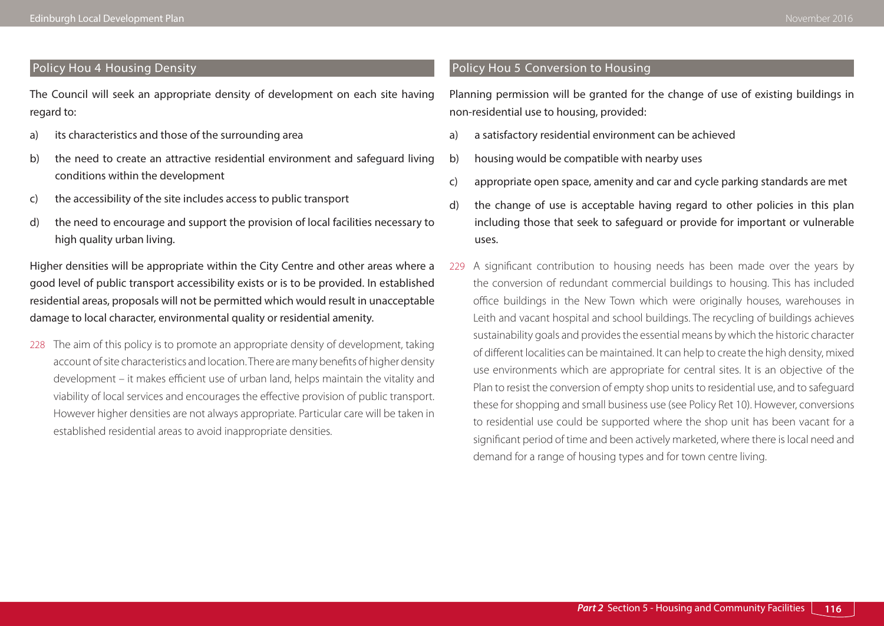# Policy Hou 4 Housing Density

The Council will seek an appropriate density of development on each site having regard to:

- a) its characteristics and those of the surrounding area
- b) the need to create an attractive residential environment and safeguard living conditions within the development
- c) the accessibility of the site includes access to public transport
- d) the need to encourage and support the provision of local facilities necessary to high quality urban living.

Higher densities will be appropriate within the City Centre and other areas where a good level of public transport accessibility exists or is to be provided. In established residential areas, proposals will not be permitted which would result in unacceptable damage to local character, environmental quality or residential amenity.

228 The aim of this policy is to promote an appropriate density of development, taking account of site characteristics and location. There are many benefits of higher density development – it makes efficient use of urban land, helps maintain the vitality and viability of local services and encourages the effective provision of public transport. However higher densities are not always appropriate. Particular care will be taken in established residential areas to avoid inappropriate densities.

# Policy Hou 5 Conversion to Housing

Planning permission will be granted for the change of use of existing buildings in non-residential use to housing, provided:

- a) a satisfactory residential environment can be achieved
- b) housing would be compatible with nearby uses
- c) appropriate open space, amenity and car and cycle parking standards are met
- d) the change of use is acceptable having regard to other policies in this plan including those that seek to safeguard or provide for important or vulnerable uses.
- 229 A significant contribution to housing needs has been made over the years by the conversion of redundant commercial buildings to housing. This has included office buildings in the New Town which were originally houses, warehouses in Leith and vacant hospital and school buildings. The recycling of buildings achieves sustainability goals and provides the essential means by which the historic character of different localities can be maintained. It can help to create the high density, mixed use environments which are appropriate for central sites. It is an objective of the Plan to resist the conversion of empty shop units to residential use, and to safeguard these for shopping and small business use (see Policy Ret 10). However, conversions to residential use could be supported where the shop unit has been vacant for a significant period of time and been actively marketed, where there is local need and demand for a range of housing types and for town centre living.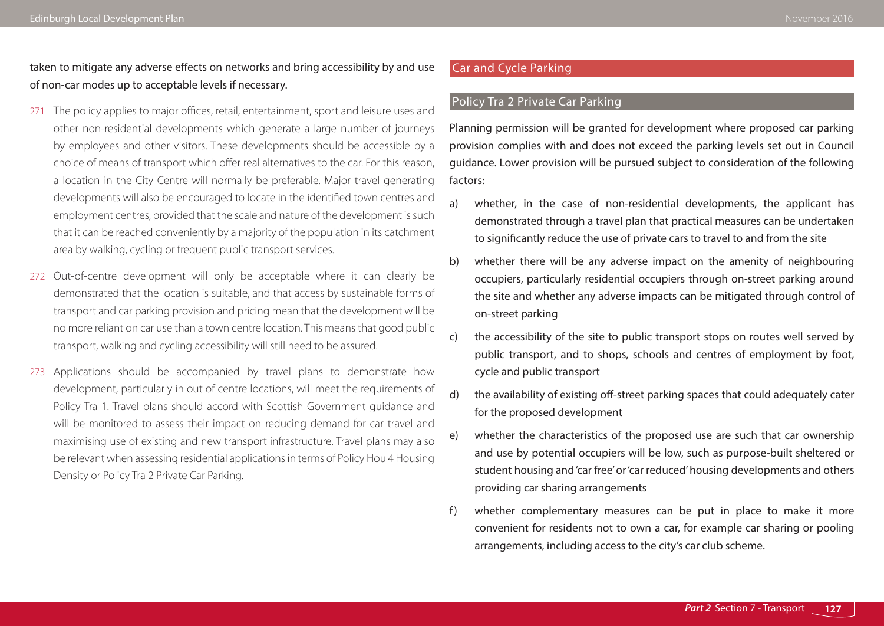taken to mitigate any adverse effects on networks and bring accessibility by and use of non-car modes up to acceptable levels if necessary.

- 271 The policy applies to major offices, retail, entertainment, sport and leisure uses and other non-residential developments which generate a large number of journeys by employees and other visitors. These developments should be accessible by a choice of means of transport which offer real alternatives to the car. For this reason, a location in the City Centre will normally be preferable. Major travel generating developments will also be encouraged to locate in the identified town centres and employment centres, provided that the scale and nature of the development is such that it can be reached conveniently by a majority of the population in its catchment area by walking, cycling or frequent public transport services.
- 272 Out-of-centre development will only be acceptable where it can clearly be demonstrated that the location is suitable, and that access by sustainable forms of transport and car parking provision and pricing mean that the development will be no more reliant on car use than a town centre location. This means that good public transport, walking and cycling accessibility will still need to be assured.
- 273 Applications should be accompanied by travel plans to demonstrate how development, particularly in out of centre locations, will meet the requirements of Policy Tra 1. Travel plans should accord with Scottish Government guidance and will be monitored to assess their impact on reducing demand for car travel and maximising use of existing and new transport infrastructure. Travel plans may also be relevant when assessing residential applications in terms of Policy Hou 4 Housing Density or Policy Tra 2 Private Car Parking.

# Car and Cycle Parking

#### Policy Tra 2 Private Car Parking

Planning permission will be granted for development where proposed car parking provision complies with and does not exceed the parking levels set out in Council guidance. Lower provision will be pursued subject to consideration of the following factors:

- a) whether, in the case of non-residential developments, the applicant has demonstrated through a travel plan that practical measures can be undertaken to significantly reduce the use of private cars to travel to and from the site
- b) whether there will be any adverse impact on the amenity of neighbouring occupiers, particularly residential occupiers through on-street parking around the site and whether any adverse impacts can be mitigated through control of on-street parking
- c) the accessibility of the site to public transport stops on routes well served by public transport, and to shops, schools and centres of employment by foot, cycle and public transport
- d) the availability of existing off-street parking spaces that could adequately cater for the proposed development
- e) whether the characteristics of the proposed use are such that car ownership and use by potential occupiers will be low, such as purpose-built sheltered or student housing and 'car free' or 'car reduced' housing developments and others providing car sharing arrangements
- f) whether complementary measures can be put in place to make it more convenient for residents not to own a car, for example car sharing or pooling arrangements, including access to the city's car club scheme.